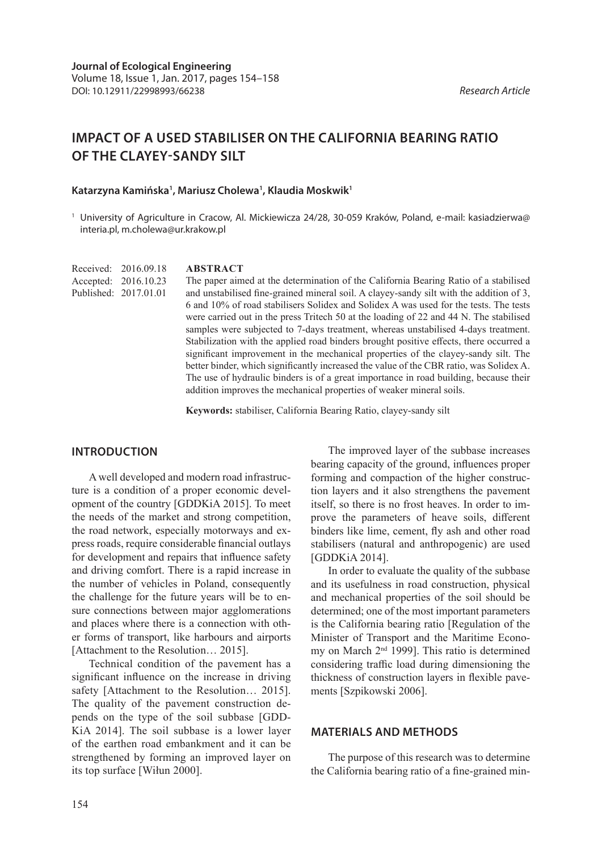# **IMPACT OF A USED STABILISER ON THE CALIFORNIA BEARING RATIO OF THE CLAYEY-SANDY SILT**

#### **Katarzyna Kamińska1 , Mariusz Cholewa1 , Klaudia Moskwik1**

<sup>1</sup> University of Agriculture in Cracow, Al. Mickiewicza 24/28, 30-059 Kraków, Poland, e-mail: kasiadzierwa@ interia.pl, m.cholewa@ur.krakow.pl

**ABSTRACT** Received: 2016.09.18 Accepted: 2016.10.23 Published: 2017.01.01

The paper aimed at the determination of the California Bearing Ratio of a stabilised and unstabilised fine-grained mineral soil. A clayey-sandy silt with the addition of 3, 6 and 10% of road stabilisers Solidex and Solidex A was used for the tests. The tests were carried out in the press Tritech 50 at the loading of 22 and 44 N. The stabilised samples were subjected to 7-days treatment, whereas unstabilised 4-days treatment. Stabilization with the applied road binders brought positive effects, there occurred a significant improvement in the mechanical properties of the clayey-sandy silt. The better binder, which significantly increased the value of the CBR ratio, was Solidex A. The use of hydraulic binders is of a great importance in road building, because their addition improves the mechanical properties of weaker mineral soils.

**Keywords:** stabiliser, California Bearing Ratio, clayey-sandy silt

## **INTRODUCTION**

A well developed and modern road infrastructure is a condition of a proper economic development of the country [GDDKiA 2015]. To meet the needs of the market and strong competition, the road network, especially motorways and express roads, require considerable financial outlays for development and repairs that influence safety and driving comfort. There is a rapid increase in the number of vehicles in Poland, consequently the challenge for the future years will be to ensure connections between major agglomerations and places where there is a connection with other forms of transport, like harbours and airports [Attachment to the Resolution… 2015].

Technical condition of the pavement has a significant influence on the increase in driving safety [Attachment to the Resolution... 2015]. The quality of the pavement construction depends on the type of the soil subbase [GDD-KiA 2014]. The soil subbase is a lower layer of the earthen road embankment and it can be strengthened by forming an improved layer on its top surface [Wiłun 2000].

The improved layer of the subbase increases bearing capacity of the ground, influences proper forming and compaction of the higher construction layers and it also strengthens the pavement itself, so there is no frost heaves. In order to improve the parameters of heave soils, different binders like lime, cement, fly ash and other road stabilisers (natural and anthropogenic) are used [GDDKiA 2014].

In order to evaluate the quality of the subbase and its usefulness in road construction, physical and mechanical properties of the soil should be determined; one of the most important parameters is the California bearing ratio [Regulation of the Minister of Transport and the Maritime Economy on March 2nd 1999]. This ratio is determined considering traffic load during dimensioning the thickness of construction layers in flexible pavements [Szpikowski 2006].

### **MATERIALS AND METHODS**

The purpose of this research was to determine the California bearing ratio of a fine-grained min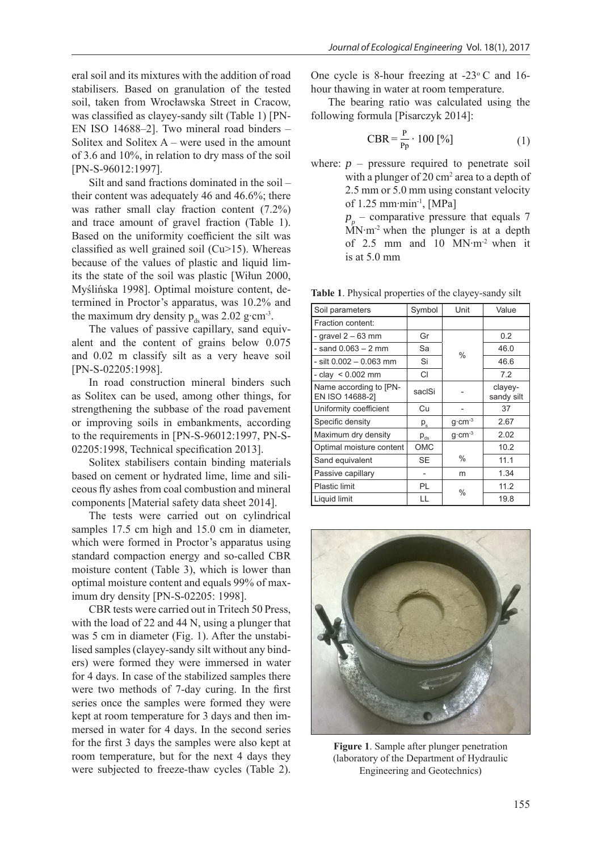eral soil and its mixtures with the addition of road stabilisers. Based on granulation of the tested soil, taken from Wrocławska Street in Cracow, was classified as clayey-sandy silt (Table 1) [PN-EN ISO 14688–2]. Two mineral road binders – Solitex and Solitex A – were used in the amount of 3.6 and 10%, in relation to dry mass of the soil [PN-S-96012:1997].

Silt and sand fractions dominated in the soil – their content was adequately 46 and 46.6%; there was rather small clay fraction content (7.2%) and trace amount of gravel fraction (Table 1). Based on the uniformity coefficient the silt was classified as well grained soil (Cu>15). Whereas because of the values of plastic and liquid limits the state of the soil was plastic [Wiłun 2000, Myślińska 1998]. Optimal moisture content, determined in Proctor's apparatus, was 10.2% and the maximum dry density  $p_{ds}$  was 2.02 g⋅cm<sup>-3</sup>.

The values of passive capillary, sand equivalent and the content of grains below 0.075 and 0.02 m classify silt as a very heave soil [PN-S-02205:1998].

In road construction mineral binders such as Solitex can be used, among other things, for strengthening the subbase of the road pavement or improving soils in embankments, according to the requirements in [PN-S-96012:1997, PN-S-02205:1998, Technical specification 2013].

Solitex stabilisers contain binding materials based on cement or hydrated lime, lime and siliceous fly ashes from coal combustion and mineral components [Material safety data sheet 2014].

The tests were carried out on cylindrical samples 17.5 cm high and 15.0 cm in diameter, which were formed in Proctor's apparatus using standard compaction energy and so-called CBR moisture content (Table 3), which is lower than optimal moisture content and equals 99% of maximum dry density [PN-S-02205: 1998].

CBR tests were carried out in Tritech 50 Press, with the load of 22 and 44 N, using a plunger that was 5 cm in diameter (Fig. 1). After the unstabilised samples (clayey-sandy silt without any binders) were formed they were immersed in water for 4 days. In case of the stabilized samples there were two methods of 7-day curing. In the first series once the samples were formed they were kept at room temperature for 3 days and then immersed in water for 4 days. In the second series for the first 3 days the samples were also kept at room temperature, but for the next 4 days they were subjected to freeze-thaw cycles (Table 2).

One cycle is 8-hour freezing at  $-23^{\circ}$  C and 16hour thawing in water at room temperature.

The bearing ratio was calculated using the following formula [Pisarczyk 2014]:

$$
CBR = \frac{P}{Pp} \cdot 100 \, [%]
$$
 (1)

where:  $p -$  pressure required to penetrate soil with a plunger of 20  $\text{cm}^2$  area to a depth of 2.5 mm or 5.0 mm using constant velocity of 1.25 mm∙min-1, [MPa]  $p_p$  – comparative pressure that equals 7 MN∙m-2 when the plunger is at a depth of 2.5 mm and 10 MN∙m-2 when it is at 5.0 mm

**Table 1**. Physical properties of the clayey-sandy silt

| Soil parameters                           | Symbol    | Unit                 | Value                 |  |
|-------------------------------------------|-----------|----------------------|-----------------------|--|
| Fraction content:                         |           |                      |                       |  |
| - gravel $2-63$ mm                        | Gr        |                      | 0.2                   |  |
| $-$ sand 0.063 $-$ 2 mm                   | Sa        | $\%$                 | 46.0                  |  |
| - silt 0.002 - 0.063 mm                   | Si        |                      | 46.6                  |  |
| - clay $\leq 0.002$ mm                    | CI        |                      | 7.2                   |  |
| Name according to [PN-<br>EN ISO 14688-21 | saclSi    |                      | clayey-<br>sandy silt |  |
| Uniformity coefficient                    | Cu        |                      | 37                    |  |
| Specific density                          | $P_{s}$   | $g$ cm <sup>-3</sup> | 2.67                  |  |
| Maximum dry density                       | $P_{ds}$  | $q$ cm <sup>-3</sup> | 2.02                  |  |
| Optimal moisture content                  | OMC       |                      | 10.2                  |  |
| Sand equivalent                           | <b>SE</b> | $\%$                 | 11.1                  |  |
| Passive capillary                         |           |                      | 1.34                  |  |
| <b>Plastic limit</b>                      | PL        | $\%$                 | 11.2                  |  |
| Liquid limit                              | LL        |                      | 19.8                  |  |



**Figure 1**. Sample after plunger penetration (laboratory of the Department of Hydraulic Engineering and Geotechnics)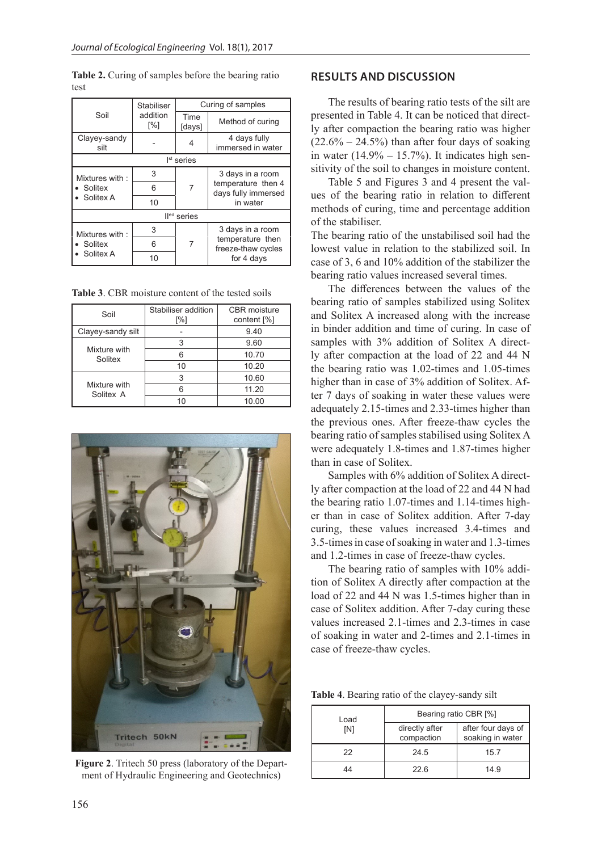|                                        | Stabiliser      | Curing of samples |                                           |  |
|----------------------------------------|-----------------|-------------------|-------------------------------------------|--|
| Soil                                   | addition<br>[%] | Time<br>[days]    | Method of curing                          |  |
| Clayey-sandy<br>silt                   |                 | 4                 | 4 days fully<br>immersed in water         |  |
| I <sup>st</sup> series                 |                 |                   |                                           |  |
| Mixtures with:<br>Solitex<br>Solitex A | 3               |                   | 3 days in a room                          |  |
|                                        | 6               |                   | temperature then 4<br>days fully immersed |  |
|                                        | 10              |                   | in water                                  |  |
| Il <sup>ed</sup> series                |                 |                   |                                           |  |
| Mixtures with:<br>Solitex<br>Solitex A | 3               |                   | 3 days in a room                          |  |
|                                        | 6               |                   | temperature then<br>freeze-thaw cycles    |  |
|                                        | 10              |                   | for 4 days                                |  |

**Table 2.** Curing of samples before the bearing ratio test

**Table 3**. CBR moisture content of the tested soils

| Soil                      | Stabiliser addition<br>[%] | <b>CBR</b> moisture<br>content [%] |  |
|---------------------------|----------------------------|------------------------------------|--|
| Clayey-sandy silt         |                            | 9.40                               |  |
| Mixture with<br>Solitex   | 3                          | 9.60                               |  |
|                           | հ                          | 10.70                              |  |
|                           | 10                         | 10.20                              |  |
| Mixture with<br>Solitex A | 3                          | 10.60                              |  |
|                           |                            | 11.20                              |  |
|                           | 10                         | 10.00                              |  |



**Figure 2**. Tritech 50 press (laboratory of the Department of Hydraulic Engineering and Geotechnics)

## **RESULTS AND DISCUSSION**

The results of bearing ratio tests of the silt are presented in Table 4. It can be noticed that directly after compaction the bearing ratio was higher  $(22.6\% - 24.5\%)$  than after four days of soaking in water  $(14.9\% - 15.7\%)$ . It indicates high sensitivity of the soil to changes in moisture content.

Table 5 and Figures 3 and 4 present the values of the bearing ratio in relation to different methods of curing, time and percentage addition of the stabiliser.

The bearing ratio of the unstabilised soil had the lowest value in relation to the stabilized soil. In case of 3, 6 and 10% addition of the stabilizer the bearing ratio values increased several times.

The differences between the values of the bearing ratio of samples stabilized using Solitex and Solitex A increased along with the increase in binder addition and time of curing. In case of samples with 3% addition of Solitex A directly after compaction at the load of 22 and 44 N the bearing ratio was 1.02-times and 1.05-times higher than in case of 3% addition of Solitex. After 7 days of soaking in water these values were adequately 2.15-times and 2.33-times higher than the previous ones. After freeze-thaw cycles the bearing ratio of samples stabilised using Solitex A were adequately 1.8-times and 1.87-times higher than in case of Solitex.

Samples with 6% addition of Solitex A directly after compaction at the load of 22 and 44 N had the bearing ratio 1.07-times and 1.14-times higher than in case of Solitex addition. After 7-day curing, these values increased 3.4-times and 3.5-times in case of soaking in water and 1.3-times and 1.2-times in case of freeze-thaw cycles.

The bearing ratio of samples with 10% addition of Solitex A directly after compaction at the load of 22 and 44 N was 1.5-times higher than in case of Solitex addition. After 7-day curing these values increased 2.1-times and 2.3-times in case of soaking in water and 2-times and 2.1-times in case of freeze-thaw cycles.

**Table 4**. Bearing ratio of the clayey-sandy silt

| Load<br>[N] | Bearing ratio CBR [%]        |                                        |  |
|-------------|------------------------------|----------------------------------------|--|
|             | directly after<br>compaction | after four days of<br>soaking in water |  |
| 22          | 24.5                         | 15.7                                   |  |
| 44          | 226                          | 14 9                                   |  |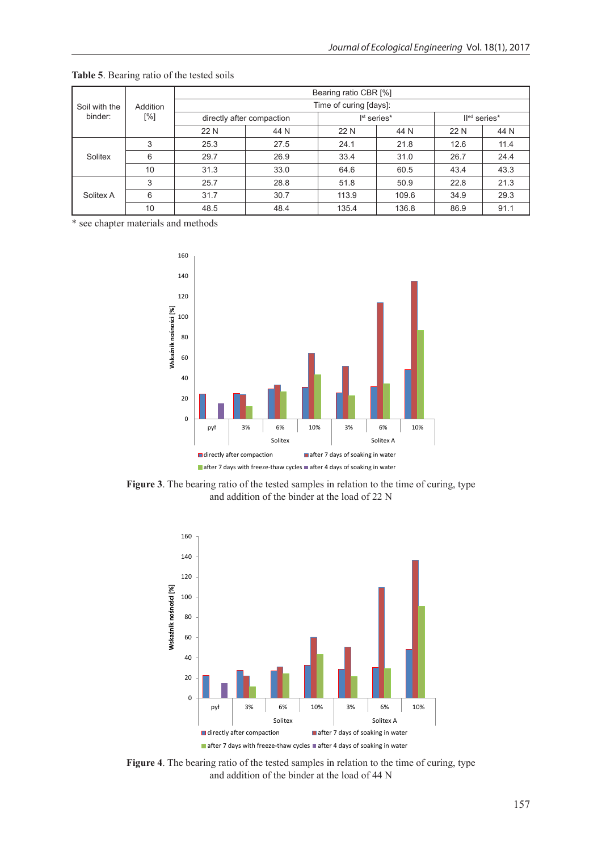| Soil with the<br>binder: | Addition<br>[%] | Bearing ratio CBR [%]     |      |                         |       |              |      |
|--------------------------|-----------------|---------------------------|------|-------------------------|-------|--------------|------|
|                          |                 | Time of curing [days]:    |      |                         |       |              |      |
|                          |                 | directly after compaction |      | I <sup>st</sup> series* |       | Iled series* |      |
|                          |                 | 22 N                      | 44 N | 22 N                    | 44 N  | 22 N         | 44 N |
| Solitex                  | 3               | 25.3                      | 27.5 | 24.1                    | 21.8  | 12.6         | 11.4 |
|                          | 6               | 29.7                      | 26.9 | 33.4                    | 31.0  | 26.7         | 24.4 |
|                          | 10              | 31.3                      | 33.0 | 64.6                    | 60.5  | 43.4         | 43.3 |
| Solitex A                | 3               | 25.7                      | 28.8 | 51.8                    | 50.9  | 22.8         | 21.3 |
|                          | 6               | 31.7                      | 30.7 | 113.9                   | 109.6 | 34.9         | 29.3 |
|                          | 10              | 48.5                      | 48.4 | 135.4                   | 136.8 | 86.9         | 91.1 |

**Table 5**. Bearing ratio of the tested soils

\* see chapter materials and methods



**Figure 3**. The bearing ratio of the tested samples in relation to the time of curing, type and addition of the binder at the load of 22 N



**Figure 4**. The bearing ratio of the tested samples in relation to the time of curing, type and addition of the binder at the load of 44 N